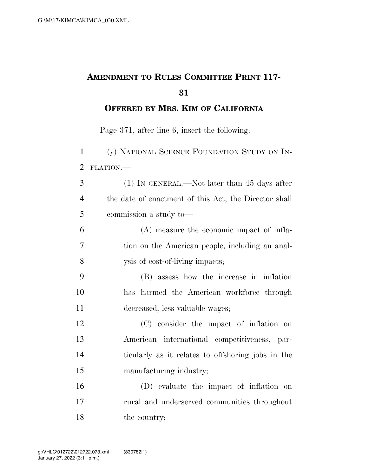## **AMENDMENT TO RULES COMMITTEE PRINT 117-**

**OFFERED BY MRS. KIM OF CALIFORNIA**

Page 371, after line 6, insert the following:

 (y) NATIONAL SCIENCE FOUNDATION STUDY ON IN- FLATION.— (1) IN GENERAL.—Not later than 45 days after the date of enactment of this Act, the Director shall commission a study to— (A) measure the economic impact of infla- tion on the American people, including an anal-ysis of cost-of-living impacts;

 (B) assess how the increase in inflation has harmed the American workforce through decreased, less valuable wages;

 (C) consider the impact of inflation on American international competitiveness, par- ticularly as it relates to offshoring jobs in the manufacturing industry;

 (D) evaluate the impact of inflation on rural and underserved communities throughout 18 the country;